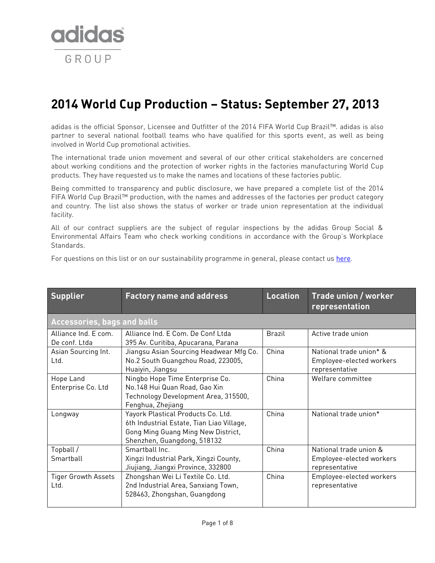

## **2014 World Cup Production – Status: September 27, 2013**

adidas is the official Sponsor, Licensee and Outfitter of the 2014 FIFA World Cup Brazil™. adidas is also partner to several national football teams who have qualified for this sports event, as well as being involved in World Cup promotional activities.

The international trade union movement and several of our other critical stakeholders are concerned about working conditions and the protection of worker rights in the factories manufacturing World Cup products. They have requested us to make the names and locations of these factories public.

Being committed to transparency and public disclosure, we have prepared a complete list of the 2014 FIFA World Cup Brazil™ production, with the names and addresses of the factories per product category and country. The list also shows the status of worker or trade union representation at the individual facility.

All of our contract suppliers are the subject of regular inspections by the adidas Group Social & Environmental Affairs Team who check working conditions in accordance with the Group's Workplace Standards.

For questions on this list or on our sustainability programme in general, please contact us [here.](http://www.adidas-group.com/en/sustainability/sustainability-contact/)

| <b>Supplier</b>                       | <b>Factory name and address</b>                                                                                                                      | <b>Location</b> | Trade union / worker<br>representation                                |
|---------------------------------------|------------------------------------------------------------------------------------------------------------------------------------------------------|-----------------|-----------------------------------------------------------------------|
| <b>Accessories, bags and balls</b>    |                                                                                                                                                      |                 |                                                                       |
| Alliance Ind. E com.<br>De conf. Ltda | Alliance Ind. E Com. De Conf Ltda<br>395 Av. Curitiba, Apucarana, Parana                                                                             | <b>Brazil</b>   | Active trade union                                                    |
| Asian Sourcing Int.<br>Ltd.           | Jiangsu Asian Sourcing Headwear Mfg Co.<br>No.2 South Guangzhou Road, 223005,<br>Huaiyin, Jiangsu                                                    | China           | National trade union* &<br>Employee-elected workers<br>representative |
| Hope Land<br>Enterprise Co. Ltd       | Ningbo Hope Time Enterprise Co.<br>No.148 Hui Quan Road, Gao Xin<br>Technology Development Area, 315500,<br>Fenghua, Zhejiang                        | China           | Welfare committee                                                     |
| Longway                               | Yayork Plastical Products Co. Ltd.<br>6th Industrial Estate, Tian Liao Village,<br>Gong Ming Guang Ming New District,<br>Shenzhen, Guangdong, 518132 | China           | National trade union*                                                 |
| Topball /<br>Smartball                | Smarthall Inc.<br>Xingzi Industrial Park, Xingzi County,<br>Jiujiang, Jiangxi Province, 332800                                                       | China           | National trade union &<br>Employee-elected workers<br>representative  |
| <b>Tiger Growth Assets</b><br>Ltd.    | Zhongshan Wei Li Textile Co. Ltd.<br>2nd Industrial Area, Sanxiang Town,<br>528463, Zhongshan, Guangdong                                             | China           | Employee-elected workers<br>representative                            |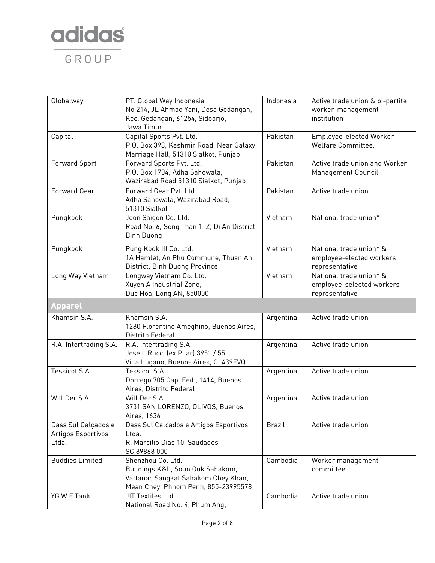

| Globalway                                          | PT. Global Way Indonesia<br>No 214, JL Ahmad Yani, Desa Gedangan,<br>Kec. Gedangan, 61254, Sidoarjo,<br>Jawa Timur                  | Indonesia     | Active trade union & bi-partite<br>worker-management<br>institution    |
|----------------------------------------------------|-------------------------------------------------------------------------------------------------------------------------------------|---------------|------------------------------------------------------------------------|
| Capital                                            | Capital Sports Pvt. Ltd.<br>P.O. Box 393, Kashmir Road, Near Galaxy<br>Marriage Hall, 51310 Sialkot, Punjab                         | Pakistan      | Employee-elected Worker<br>Welfare Committee.                          |
| <b>Forward Sport</b>                               | Forward Sports Pvt. Ltd.<br>P.O. Box 1704, Adha Sahowala,<br>Wazirabad Road 51310 Sialkot, Punjab                                   | Pakistan      | Active trade union and Worker<br>Management Council                    |
| Forward Gear                                       | Forward Gear Pvt. Ltd.<br>Adha Sahowala, Wazirabad Road,<br>51310 Sialkot                                                           | Pakistan      | Active trade union                                                     |
| Pungkook                                           | Joon Saigon Co. Ltd.<br>Road No. 6, Song Than 1 IZ, Di An District,<br><b>Binh Duong</b>                                            | Vietnam       | National trade union*                                                  |
| Pungkook                                           | Pung Kook III Co. Ltd.<br>1A Hamlet, An Phu Commune, Thuan An<br>District, Binh Duong Province                                      | Vietnam       | National trade union* &<br>employee-elected workers<br>representative  |
| Long Way Vietnam                                   | Longway Vietnam Co. Ltd.<br>Xuyen A Industrial Zone,<br>Duc Hoa, Long AN, 850000                                                    | Vietnam       | National trade union* &<br>employee-selected workers<br>representative |
| <b>Apparel</b>                                     |                                                                                                                                     |               |                                                                        |
| Khamsin S.A.                                       | Khamsin S.A.<br>1280 Florentino Ameghino, Buenos Aires,<br>Distrito Federal                                                         | Argentina     | Active trade union                                                     |
| R.A. Intertrading S.A.                             | R.A. Intertrading S.A.<br>Jose I. Rucci (ex Pilar) 3951 / 55<br>Villa Lugano, Buenos Aires, C1439FVQ                                | Argentina     | Active trade union                                                     |
| <b>Tessicot S.A</b>                                | <b>Tessicot S.A</b><br>Dorrego 705 Cap. Fed., 1414, Buenos<br>Aires, Distrito Federal                                               | Argentina     | Active trade union                                                     |
| Will Der S.A                                       | Will Der S.A<br>3731 SAN LORENZO, OLIVOS, Buenos<br>Aires, 1636                                                                     | Argentina     | Active trade union                                                     |
| Dass Sul Calçados e<br>Artigos Esportivos<br>Ltda. | Dass Sul Calçados e Artigos Esportivos<br>Ltda.<br>R. Marcilio Dias 10, Saudades<br>SC 89868 000                                    | <b>Brazil</b> | Active trade union                                                     |
| <b>Buddies Limited</b>                             | Shenzhou Co. Ltd.<br>Buildings K&L, Soun Ouk Sahakom,<br>Vattanac Sangkat Sahakom Chey Khan,<br>Mean Chey, Phnom Penh, 855-23995578 | Cambodia      | Worker management<br>committee                                         |
| YG W F Tank                                        | JIT Textiles Ltd.<br>National Road No. 4, Phum Ang,                                                                                 | Cambodia      | Active trade union                                                     |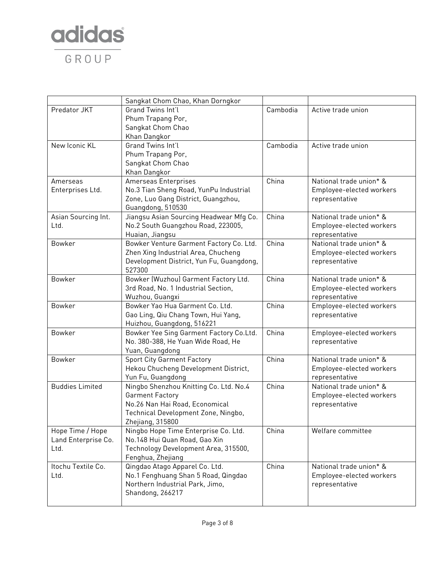

|                        | Sangkat Chom Chao, Khan Dorngkor                                                |          |                                           |
|------------------------|---------------------------------------------------------------------------------|----------|-------------------------------------------|
| Predator JKT           | Grand Twins Int'l                                                               | Cambodia | Active trade union                        |
|                        | Phum Trapang Por,                                                               |          |                                           |
|                        | Sangkat Chom Chao                                                               |          |                                           |
|                        | Khan Dangkor                                                                    |          |                                           |
| New Iconic KL          | Grand Twins Int'l                                                               | Cambodia | Active trade union                        |
|                        | Phum Trapang Por,                                                               |          |                                           |
|                        | Sangkat Chom Chao                                                               |          |                                           |
|                        | Khan Dangkor                                                                    |          |                                           |
| Amerseas               | Amerseas Enterprises                                                            | China    | National trade union* &                   |
| Enterprises Ltd.       | No.3 Tian Sheng Road, YunPu Industrial                                          |          | Employee-elected workers                  |
|                        | Zone, Luo Gang District, Guangzhou,                                             |          | representative                            |
|                        | Guangdong, 510530                                                               |          |                                           |
| Asian Sourcing Int.    | Jiangsu Asian Sourcing Headwear Mfg Co.                                         | China    | National trade union* &                   |
| Ltd.                   | No.2 South Guangzhou Road, 223005,                                              |          | Employee-elected workers                  |
|                        | Huaian, Jiangsu                                                                 | China    | representative<br>National trade union* & |
| Bowker                 | Bowker Venture Garment Factory Co. Ltd.                                         |          |                                           |
|                        | Zhen Xing Industrial Area, Chucheng<br>Development District, Yun Fu, Guangdong, |          | Employee-elected workers                  |
|                        | 527300                                                                          |          | representative                            |
| Bowker                 | Bowker (Wuzhou) Garment Factory Ltd.                                            | China    | National trade union* &                   |
|                        | 3rd Road, No. 1 Industrial Section,                                             |          | Employee-elected workers                  |
|                        | Wuzhou, Guangxi                                                                 |          | representative                            |
| Bowker                 | Bowker Yao Hua Garment Co. Ltd.                                                 | China    | Employee-elected workers                  |
|                        | Gao Ling, Qiu Chang Town, Hui Yang,                                             |          | representative                            |
|                        | Huizhou, Guangdong, 516221                                                      |          |                                           |
| Bowker                 | Bowker Yee Sing Garment Factory Co.Ltd.                                         | China    | Employee-elected workers                  |
|                        | No. 380-388, He Yuan Wide Road, He                                              |          | representative                            |
|                        | Yuan, Guangdong                                                                 |          |                                           |
| Bowker                 | <b>Sport City Garment Factory</b>                                               | China    | National trade union* &                   |
|                        | Hekou Chucheng Development District,                                            |          | Employee-elected workers                  |
|                        | Yun Fu, Guangdong                                                               |          | representative                            |
| <b>Buddies Limited</b> | Ningbo Shenzhou Knitting Co. Ltd. No.4                                          | China    | National trade union* &                   |
|                        | <b>Garment Factory</b>                                                          |          | Employee-elected workers                  |
|                        | No.26 Nan Hai Road, Economical                                                  |          | representative                            |
|                        | Technical Development Zone, Ningbo,                                             |          |                                           |
|                        | Zhejiang, 315800                                                                |          |                                           |
| Hope Time / Hope       | Ningbo Hope Time Enterprise Co. Ltd.                                            | China    | Welfare committee                         |
| Land Enterprise Co.    | No.148 Hui Quan Road, Gao Xin                                                   |          |                                           |
| Ltd.                   | Technology Development Area, 315500,                                            |          |                                           |
|                        | Fenghua, Zhejiang                                                               |          |                                           |
| Itochu Textile Co.     | Qingdao Atago Apparel Co. Ltd.                                                  | China    | National trade union* &                   |
| Ltd.                   | No.1 Fenghuang Shan 5 Road, Qingdao                                             |          | Employee-elected workers                  |
|                        | Northern Industrial Park, Jimo,                                                 |          | representative                            |
|                        | Shandong, 266217                                                                |          |                                           |
|                        |                                                                                 |          |                                           |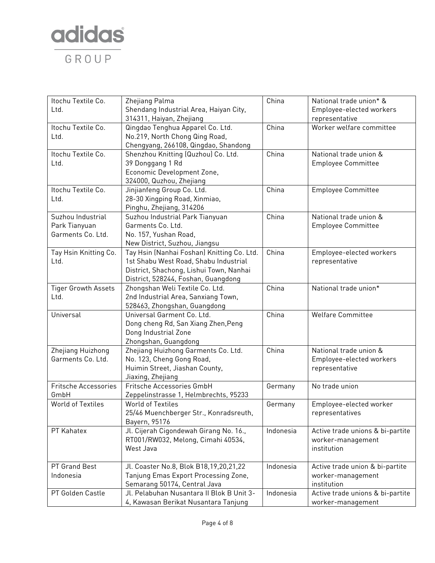

| Itochu Textile Co.<br>Ltd.                              | Zhejiang Palma<br>Shendang Industrial Area, Haiyan City,<br>314311, Haiyan, Zhejiang                                                                                  | China     | National trade union* &<br>Employee-elected workers<br>representative |
|---------------------------------------------------------|-----------------------------------------------------------------------------------------------------------------------------------------------------------------------|-----------|-----------------------------------------------------------------------|
| Itochu Textile Co.<br>Ltd.                              | Qingdao Tenghua Apparel Co. Ltd.<br>No.219, North Chong Qing Road,<br>Chengyang, 266108, Qingdao, Shandong                                                            | China     | Worker welfare committee                                              |
| Itochu Textile Co.<br>Ltd.                              | Shenzhou Knitting (Quzhou) Co. Ltd.<br>39 Donggang 1 Rd<br>Economic Development Zone,<br>324000, Quzhou, Zhejiang                                                     | China     | National trade union &<br><b>Employee Committee</b>                   |
| Itochu Textile Co.<br>Ltd.                              | Jinjianfeng Group Co. Ltd.<br>28-30 Xingping Road, Xinmiao,<br>Pinghu, Zhejiang, 314206                                                                               | China     | <b>Employee Committee</b>                                             |
| Suzhou Industrial<br>Park Tianyuan<br>Garments Co. Ltd. | Suzhou Industrial Park Tianyuan<br>Garments Co. Ltd.<br>No. 157, Yushan Road,<br>New District, Suzhou, Jiangsu                                                        | China     | National trade union &<br><b>Employee Committee</b>                   |
| Tay Hsin Knitting Co.<br>Ltd.                           | Tay Hsin (Nanhai Foshan) Knitting Co. Ltd.<br>1st Shabu West Road, Shabu Industrial<br>District, Shachong, Lishui Town, Nanhai<br>District, 528244, Foshan, Guangdong | China     | Employee-elected workers<br>representative                            |
| <b>Tiger Growth Assets</b><br>Ltd.                      | Zhongshan Weli Textile Co. Ltd.<br>2nd Industrial Area, Sanxiang Town,<br>528463, Zhongshan, Guangdong                                                                | China     | National trade union*                                                 |
| Universal                                               | Universal Garment Co. Ltd.<br>Dong cheng Rd, San Xiang Zhen, Peng<br>Dong Industrial Zone<br>Zhongshan, Guangdong                                                     | China     | <b>Welfare Committee</b>                                              |
| Zhejiang Huizhong<br>Garments Co. Ltd.                  | Zhejiang Huizhong Garments Co. Ltd.<br>No. 123, Cheng Gong Road,<br>Huimin Street, Jiashan County,<br>Jiaxing, Zhejiang                                               | China     | National trade union &<br>Employee-elected workers<br>representative  |
| Fritsche Accessories<br>GmbH                            | Fritsche Accessories GmbH<br>Zeppelinstrasse 1, Helmbrechts, 95233                                                                                                    | Germany   | No trade union                                                        |
| <b>World of Textiles</b>                                | <b>World of Textiles</b><br>25/46 Muenchberger Str., Konradsreuth,<br>Bayern, 95176                                                                                   | Germany   | Employee-elected worker<br>representatives                            |
| PT Kahatex                                              | Jl. Cijerah Cigondewah Girang No. 16.,<br>RT001/RW032, Melong, Cimahi 40534,<br>West Java                                                                             | Indonesia | Active trade unions & bi-partite<br>worker-management<br>institution  |
| PT Grand Best<br>Indonesia                              | Jl. Coaster No.8, Blok B18,19,20,21,22<br>Tanjung Emas Export Processing Zone,<br>Semarang 50174, Central Java                                                        | Indonesia | Active trade union & bi-partite<br>worker-management<br>institution   |
| PT Golden Castle                                        | Jl. Pelabuhan Nusantara II Blok B Unit 3-<br>4, Kawasan Berikat Nusantara Tanjung                                                                                     | Indonesia | Active trade unions & bi-partite<br>worker-management                 |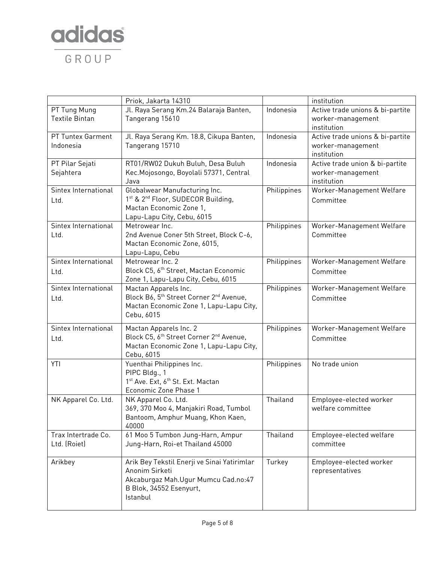

|                       | Priok, Jakarta 14310                                            |             | institution                      |
|-----------------------|-----------------------------------------------------------------|-------------|----------------------------------|
| PT Tung Mung          | Jl. Raya Serang Km.24 Balaraja Banten,                          | Indonesia   | Active trade unions & bi-partite |
| <b>Textile Bintan</b> | Tangerang 15610                                                 |             | worker-management                |
|                       |                                                                 |             | institution                      |
| PT Tuntex Garment     | Jl. Raya Serang Km. 18.8, Cikupa Banten,                        | Indonesia   | Active trade unions & bi-partite |
| Indonesia             | Tangerang 15710                                                 |             | worker-management                |
|                       |                                                                 |             | institution                      |
| PT Pilar Sejati       | RT01/RW02 Dukuh Buluh, Desa Buluh                               | Indonesia   | Active trade union & bi-partite  |
| Sejahtera             | Kec. Mojosongo, Boyolali 57371, Central                         |             | worker-management                |
|                       | Java                                                            |             | institution                      |
| Sintex International  | Globalwear Manufacturing Inc.                                   | Philippines | Worker-Management Welfare        |
| Ltd.                  | 1st & 2 <sup>nd</sup> Floor, SUDECOR Building,                  |             | Committee                        |
|                       | Mactan Economic Zone 1,                                         |             |                                  |
|                       | Lapu-Lapu City, Cebu, 6015                                      |             |                                  |
| Sintex International  | Metrowear Inc.                                                  | Philippines | Worker-Management Welfare        |
| Ltd.                  | 2nd Avenue Coner 5th Street, Block C-6,                         |             | Committee                        |
|                       | Mactan Economic Zone, 6015,                                     |             |                                  |
|                       | Lapu-Lapu, Cebu                                                 |             |                                  |
| Sintex International  | Metrowear Inc. 2                                                | Philippines | Worker-Management Welfare        |
| Ltd.                  | Block C5, 6th Street, Mactan Economic                           |             | Committee                        |
|                       | Zone 1, Lapu-Lapu City, Cebu, 6015                              |             |                                  |
| Sintex International  | Mactan Apparels Inc.                                            | Philippines | Worker-Management Welfare        |
| Ltd.                  | Block B6, 5 <sup>th</sup> Street Corner 2 <sup>nd</sup> Avenue, |             | Committee                        |
|                       | Mactan Economic Zone 1, Lapu-Lapu City,                         |             |                                  |
|                       | Cebu, 6015                                                      |             |                                  |
| Sintex International  | Mactan Apparels Inc. 2                                          | Philippines | Worker-Management Welfare        |
| Ltd.                  | Block C5, 6 <sup>th</sup> Street Corner 2 <sup>nd</sup> Avenue, |             | Committee                        |
|                       | Mactan Economic Zone 1, Lapu-Lapu City,                         |             |                                  |
|                       | Cebu, 6015                                                      |             |                                  |
| YTI                   | Yuenthai Philippines Inc.                                       | Philippines | No trade union                   |
|                       | PIPC Bldg., 1                                                   |             |                                  |
|                       | 1 <sup>st</sup> Ave. Ext, 6 <sup>th</sup> St. Ext. Mactan       |             |                                  |
|                       | Economic Zone Phase 1                                           |             |                                  |
| NK Apparel Co. Ltd.   | NK Apparel Co. Ltd.                                             | Thailand    | Employee-elected worker          |
|                       | 369, 370 Moo 4, Manjakiri Road, Tumbol                          |             | welfare committee                |
|                       | Bantoom, Amphur Muang, Khon Kaen,                               |             |                                  |
|                       | 40000                                                           |             |                                  |
| Trax Intertrade Co.   | 61 Moo 5 Tumbon Jung-Harn, Ampur                                | Thailand    | Employee-elected welfare         |
| Ltd. (Roiet)          | Jung-Harn, Roi-et Thailand 45000                                |             | committee                        |
|                       |                                                                 |             |                                  |
| Arikbey               | Arik Bey Tekstil Enerji ve Sinai Yatirimlar                     | Turkey      | Employee-elected worker          |
|                       | Anonim Sirketi                                                  |             | representatives                  |
|                       | Akcaburgaz Mah.Ugur Mumcu Cad.no:47                             |             |                                  |
|                       | B Blok, 34552 Esenyurt,                                         |             |                                  |
|                       | Istanbul                                                        |             |                                  |
|                       |                                                                 |             |                                  |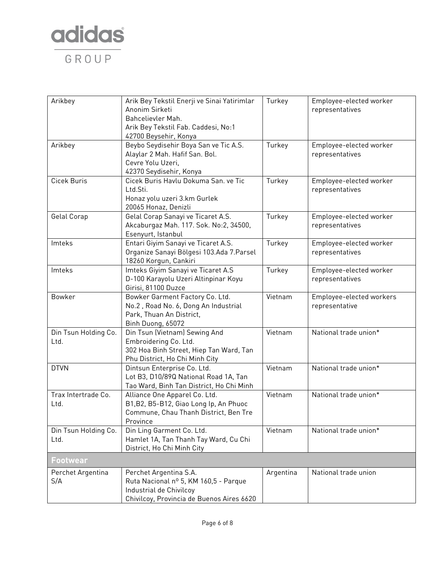

| Arikbey                      | Arik Bey Tekstil Enerji ve Sinai Yatirimlar<br>Anonim Sirketi<br>Bahcelievler Mah.<br>Arik Bey Tekstil Fab. Caddesi, No:1<br>42700 Beysehir, Konya | Turkey    | Employee-elected worker<br>representatives |
|------------------------------|----------------------------------------------------------------------------------------------------------------------------------------------------|-----------|--------------------------------------------|
| Arikbey                      | Beybo Seydisehir Boya San ve Tic A.S.<br>Alaylar 2 Mah. Hafif San. Bol.<br>Cevre Yolu Uzeri,<br>42370 Seydisehir, Konya                            | Turkey    | Employee-elected worker<br>representatives |
| Cicek Buris                  | Cicek Buris Havlu Dokuma San. ve Tic<br>Ltd.Sti.<br>Honaz yolu uzeri 3.km Gurlek<br>20065 Honaz, Denizli                                           | Turkey    | Employee-elected worker<br>representatives |
| Gelal Corap                  | Gelal Corap Sanayi ve Ticaret A.S.<br>Akcaburgaz Mah. 117. Sok. No:2, 34500,<br>Esenyurt, Istanbul                                                 | Turkey    | Employee-elected worker<br>representatives |
| Imteks                       | Entari Giyim Sanayi ve Ticaret A.S.<br>Organize Sanayi Bölgesi 103.Ada 7.Parsel<br>18260 Korgun, Cankiri                                           | Turkey    | Employee-elected worker<br>representatives |
| Imteks                       | Imteks Giyim Sanayi ve Ticaret A.S<br>D-100 Karayolu Uzeri Altinpinar Koyu<br>Girisi, 81100 Duzce                                                  | Turkey    | Employee-elected worker<br>representatives |
| Bowker                       | Bowker Garment Factory Co. Ltd.<br>No.2, Road No. 6, Dong An Industrial<br>Park, Thuan An District,<br>Binh Duong, 65072                           | Vietnam   | Employee-elected workers<br>representative |
| Din Tsun Holding Co.<br>Ltd. | Din Tsun (Vietnam) Sewing And<br>Embroidering Co. Ltd.<br>302 Hoa Binh Street, Hiep Tan Ward, Tan<br>Phu District, Ho Chi Minh City                | Vietnam   | National trade union*                      |
| <b>DTVN</b>                  | Dintsun Enterprise Co. Ltd.<br>Lot B3, D10/89Q National Road 1A, Tan<br>Tao Ward, Binh Tan District, Ho Chi Minh                                   | Vietnam   | National trade union*                      |
| Trax Intertrade Co.<br>Ltd.  | Alliance One Apparel Co. Ltd.<br>B1, B2, B5-B12, Giao Long Ip, An Phuoc<br>Commune, Chau Thanh District, Ben Tre<br>Province                       | Vietnam   | National trade union*                      |
| Din Tsun Holding Co.<br>Ltd. | Din Ling Garment Co. Ltd.<br>Hamlet 1A, Tan Thanh Tay Ward, Cu Chi<br>District, Ho Chi Minh City                                                   | Vietnam   | National trade union*                      |
| <b>Footwear</b>              |                                                                                                                                                    |           |                                            |
| Perchet Argentina<br>S/A     | Perchet Argentina S.A.<br>Ruta Nacional nº 5, KM 160,5 - Parque<br>Industrial de Chivilcoy<br>Chivilcoy, Provincia de Buenos Aires 6620            | Argentina | National trade union                       |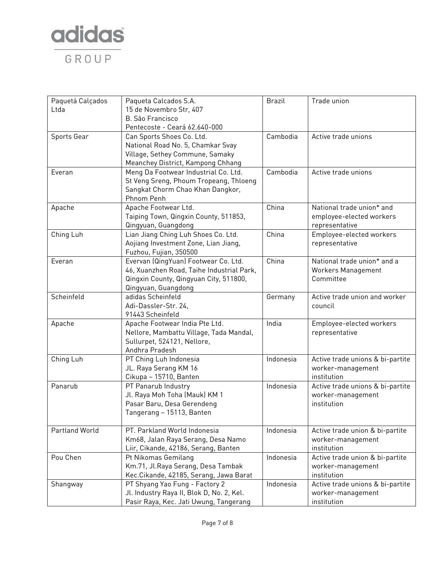

| Paquetá Calçados | Paqueta Calcados S.A.                     | <b>Brazil</b> | Trade union                      |
|------------------|-------------------------------------------|---------------|----------------------------------|
| Ltda             | 15 de Novembro Str, 407                   |               |                                  |
|                  | <b>B.</b> São Francisco                   |               |                                  |
|                  | Pentecoste - Ceará 62.640-000             |               |                                  |
| Sports Gear      | Can Sports Shoes Co. Ltd.                 | Cambodia      | Active trade unions              |
|                  | National Road No. 5, Chamkar Svay         |               |                                  |
|                  | Village, Sethey Commune, Samaky           |               |                                  |
|                  | Meanchey District, Kampong Chhang         |               |                                  |
| Everan           | Meng Da Footwear Industrial Co. Ltd.      | Cambodia      | Active trade unions              |
|                  | St Veng Sreng, Phoum Tropeang, Thloeng    |               |                                  |
|                  | Sangkat Chorm Chao Khan Dangkor,          |               |                                  |
|                  | Phnom Penh                                |               |                                  |
| Apache           | Apache Footwear Ltd.                      | China         | National trade union* and        |
|                  | Taiping Town, Qingxin County, 511853,     |               | employee-elected workers         |
|                  | Qingyuan, Guangdong                       |               | representative                   |
| Ching Luh        | Lian Jiang Ching Luh Shoes Co. Ltd.       | China         | Employee-elected workers         |
|                  | Aojiang Investment Zone, Lian Jiang,      |               | representative                   |
|                  | Fuzhou, Fujian, 350500                    |               |                                  |
| Everan           | Evervan (QingYuan) Footwear Co. Ltd.      | China         | National trade union* and a      |
|                  | 46, Xuanzhen Road, Taihe Industrial Park, |               | Workers Management               |
|                  | Qingxin County, Qingyuan City, 511800,    |               | Committee                        |
|                  | Qingyuan, Guangdong                       |               |                                  |
| Scheinfeld       | adidas Scheinfeld                         | Germany       | Active trade union and worker    |
|                  | Adi-Dassler-Str. 24,                      |               | council                          |
|                  | 91443 Scheinfeld                          |               |                                  |
| Apache           | Apache Footwear India Pte Ltd.            | India         | Employee-elected workers         |
|                  | Nellore, Mambattu Village, Tada Mandal,   |               | representative                   |
|                  | Sullurpet, 524121, Nellore,               |               |                                  |
|                  | Andhra Pradesh                            |               |                                  |
| Ching Luh        | PT Ching Luh Indonesia                    | Indonesia     | Active trade unions & bi-partite |
|                  | JL. Raya Serang KM 16                     |               | worker-management                |
|                  | Cikupa - 15710, Banten                    |               | institution                      |
| Panarub          | PT Panarub Industry                       | Indonesia     | Active trade unions & bi-partite |
|                  | Jl. Raya Moh Toha (Mauk) KM 1             |               | worker-management                |
|                  | Pasar Baru, Desa Gerendeng                |               | institution                      |
|                  | Tangerang - 15113, Banten                 |               |                                  |
|                  |                                           |               |                                  |
| Partland World   | PT. Parkland World Indonesia              | Indonesia     | Active trade union & bi-partite  |
|                  | Km68, Jalan Raya Serang, Desa Namo        |               | worker-management                |
|                  | Liir, Cikande, 42186, Serang, Banten      |               | institution                      |
| Pou Chen         | Pt Nikomas Gemilang                       | Indonesia     | Active trade union & bi-partite  |
|                  | Km.71, Jl.Raya Serang, Desa Tambak        |               | worker-management                |
|                  | Kec.Cikande, 42185, Serang, Jawa Barat    |               | institution                      |
| Shangway         | PT Shyang Yao Fung - Factory 2            | Indonesia     | Active trade unions & bi-partite |
|                  | Jl. Industry Raya II, Blok D, No. 2, Kel. |               | worker-management                |
|                  | Pasir Raya, Kec. Jati Uwung, Tangerang    |               | institution                      |
|                  |                                           |               |                                  |